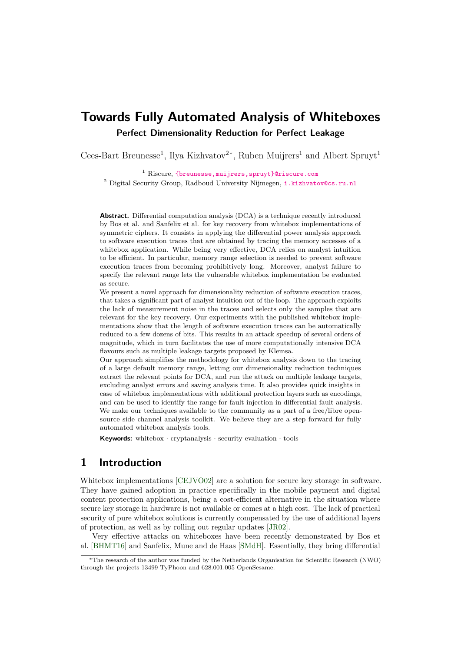# **Towards Fully Automated Analysis of Whiteboxes Perfect Dimensionality Reduction for Perfect Leakage**

Cees-Bart Breunesse<sup>1</sup>, Ilya Kizhvatov<sup>2\*</sup>, Ruben Muijrers<sup>1</sup> and Albert Spruyt<sup>1</sup>

<sup>1</sup> Riscure, {breunesse, muijrers, spruyt}@riscure.com <sup>2</sup> Digital Security Group, Radboud University Nijmegen, [i.kizhvatov@cs.ru.nl](mailto:i.kizhvatov@cs.ru.nl)

**Abstract.** Differential computation analysis (DCA) is a technique recently introduced by Bos et al. and Sanfelix et al. for key recovery from whitebox implementations of symmetric ciphers. It consists in applying the differential power analysis approach to software execution traces that are obtained by tracing the memory accesses of a whitebox application. While being very effective, DCA relies on analyst intuition to be efficient. In particular, memory range selection is needed to prevent software execution traces from becoming prohibitively long. Moreover, analyst failure to specify the relevant range lets the vulnerable whitebox implementation be evaluated as secure.

We present a novel approach for dimensionality reduction of software execution traces, that takes a significant part of analyst intuition out of the loop. The approach exploits the lack of measurement noise in the traces and selects only the samples that are relevant for the key recovery. Our experiments with the published whitebox implementations show that the length of software execution traces can be automatically reduced to a few dozens of bits. This results in an attack speedup of several orders of magnitude, which in turn facilitates the use of more computationally intensive DCA flavours such as multiple leakage targets proposed by Klemsa.

Our approach simplifies the methodology for whitebox analysis down to the tracing of a large default memory range, letting our dimensionality reduction techniques extract the relevant points for DCA, and run the attack on multiple leakage targets, excluding analyst errors and saving analysis time. It also provides quick insights in case of whitebox implementations with additional protection layers such as encodings, and can be used to identify the range for fault injection in differential fault analysis. We make our techniques available to the community as a part of a free/libre opensource side channel analysis toolkit. We believe they are a step forward for fully automated whitebox analysis tools.

**Keywords:** whitebox · cryptanalysis · security evaluation · tools

### **1 Introduction**

Whitebox implementations [\[CEJVO02\]](#page-15-0) are a solution for secure key storage in software. They have gained adoption in practice specifically in the mobile payment and digital content protection applications, being a cost-efficient alternative in the situation where secure key storage in hardware is not available or comes at a high cost. The lack of practical security of pure whitebox solutions is currently compensated by the use of additional layers of protection, as well as by rolling out regular updates [\[JR02\]](#page-16-0).

Very effective attacks on whiteboxes have been recently demonstrated by Bos et al. [\[BHMT16\]](#page-15-1) and Sanfelix, Mune and de Haas [\[SMdH\]](#page-16-1). Essentially, they bring differential

<sup>∗</sup>The research of the author was funded by the Netherlands Organisation for Scientific Research (NWO) through the projects 13499 TyPhoon and 628.001.005 OpenSesame.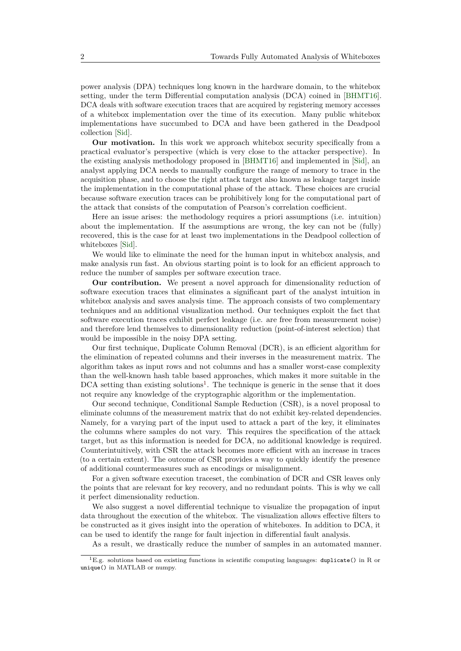power analysis (DPA) techniques long known in the hardware domain, to the whitebox setting, under the term Differential computation analysis (DCA) coined in [\[BHMT16\]](#page-15-1). DCA deals with software execution traces that are acquired by registering memory accesses of a whitebox implementation over the time of its execution. Many public whitebox implementations have succumbed to DCA and have been gathered in the Deadpool collection [\[Sid\]](#page-16-2).

**Our motivation.** In this work we approach whitebox security specifically from a practical evaluator's perspective (which is very close to the attacker perspective). In the existing analysis methodology proposed in [\[BHMT16\]](#page-15-1) and implemented in [\[Sid\]](#page-16-2), an analyst applying DCA needs to manually configure the range of memory to trace in the acquisition phase, and to choose the right attack target also known as leakage target inside the implementation in the computational phase of the attack. These choices are crucial because software execution traces can be prohibitively long for the computational part of the attack that consists of the computation of Pearson's correlation coefficient.

Here an issue arises: the methodology requires a priori assumptions (i.e. intuition) about the implementation. If the assumptions are wrong, the key can not be (fully) recovered, this is the case for at least two implementations in the Deadpool collection of whiteboxes [\[Sid\]](#page-16-2).

We would like to eliminate the need for the human input in whitebox analysis, and make analysis run fast. An obvious starting point is to look for an efficient approach to reduce the number of samples per software execution trace.

**Our contribution.** We present a novel approach for dimensionality reduction of software execution traces that eliminates a significant part of the analyst intuition in whitebox analysis and saves analysis time. The approach consists of two complementary techniques and an additional visualization method. Our techniques exploit the fact that software execution traces exhibit perfect leakage (i.e. are free from measurement noise) and therefore lend themselves to dimensionality reduction (point-of-interest selection) that would be impossible in the noisy DPA setting.

Our first technique, Duplicate Column Removal (DCR), is an efficient algorithm for the elimination of repeated columns and their inverses in the measurement matrix. The algorithm takes as input rows and not columns and has a smaller worst-case complexity than the well-known hash table based approaches, which makes it more suitable in the  $DCA$  setting than existing solutions<sup>[1](#page-1-0)</sup>. The technique is generic in the sense that it does not require any knowledge of the cryptographic algorithm or the implementation.

Our second technique, Conditional Sample Reduction (CSR), is a novel proposal to eliminate columns of the measurement matrix that do not exhibit key-related dependencies. Namely, for a varying part of the input used to attack a part of the key, it eliminates the columns where samples do not vary. This requires the specification of the attack target, but as this information is needed for DCA, no additional knowledge is required. Counterintuitively, with CSR the attack becomes more efficient with an increase in traces (to a certain extent). The outcome of CSR provides a way to quickly identify the presence of additional countermeasures such as encodings or misalignment.

For a given software execution traceset, the combination of DCR and CSR leaves only the points that are relevant for key recovery, and no redundant points. This is why we call it perfect dimensionality reduction.

We also suggest a novel differential technique to visualize the propagation of input data throughout the execution of the whitebox. The visualization allows effective filters to be constructed as it gives insight into the operation of whiteboxes. In addition to DCA, it can be used to identify the range for fault injection in differential fault analysis.

As a result, we drastically reduce the number of samples in an automated manner.

<span id="page-1-0"></span><sup>&</sup>lt;sup>1</sup>E.g. solutions based on existing functions in scientific computing languages: duplicate() in R or unique() in MATLAB or numpy.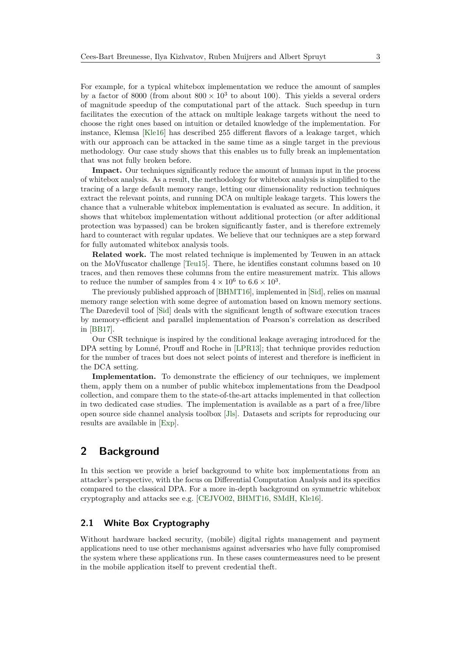For example, for a typical whitebox implementation we reduce the amount of samples by a factor of 8000 (from about  $800 \times 10^3$  to about 100). This yields a several orders of magnitude speedup of the computational part of the attack. Such speedup in turn facilitates the execution of the attack on multiple leakage targets without the need to choose the right ones based on intuition or detailed knowledge of the implementation. For instance, Klemsa [\[Kle16\]](#page-16-3) has described 255 different flavors of a leakage target, which with our approach can be attacked in the same time as a single target in the previous methodology. Our case study shows that this enables us to fully break an implementation that was not fully broken before.

**Impact.** Our techniques significantly reduce the amount of human input in the process of whitebox analysis. As a result, the methodology for whitebox analysis is simplified to the tracing of a large default memory range, letting our dimensionality reduction techniques extract the relevant points, and running DCA on multiple leakage targets. This lowers the chance that a vulnerable whitebox implementation is evaluated as secure. In addition, it shows that whitebox implementation without additional protection (or after additional protection was bypassed) can be broken significantly faster, and is therefore extremely hard to counteract with regular updates. We believe that our techniques are a step forward for fully automated whitebox analysis tools.

**Related work.** The most related technique is implemented by Teuwen in an attack on the MoVfuscator challenge [\[Teu15\]](#page-16-4). There, he identifies constant columns based on 10 traces, and then removes these columns from the entire measurement matrix. This allows to reduce the number of samples from  $4 \times 10^6$  to  $6.6 \times 10^3$ .

The previously published approach of [\[BHMT16\]](#page-15-1), implemented in [\[Sid\]](#page-16-2), relies on manual memory range selection with some degree of automation based on known memory sections. The Daredevil tool of [\[Sid\]](#page-16-2) deals with the significant length of software execution traces by memory-efficient and parallel implementation of Pearson's correlation as described in [\[BB17\]](#page-15-2).

Our CSR technique is inspired by the conditional leakage averaging introduced for the DPA setting by Lomné, Prouff and Roche in [\[LPR13\]](#page-16-5); that technique provides reduction for the number of traces but does not select points of interest and therefore is inefficient in the DCA setting.

**Implementation.** To demonstrate the efficiency of our techniques, we implement them, apply them on a number of public whitebox implementations from the Deadpool collection, and compare them to the state-of-the-art attacks implemented in that collection in two dedicated case studies. The implementation is available as a part of a free/libre open source side channel analysis toolbox [\[Jls\]](#page-16-6). Datasets and scripts for reproducing our results are available in [\[Exp\]](#page-16-7).

# **2 Background**

In this section we provide a brief background to white box implementations from an attacker's perspective, with the focus on Differential Computation Analysis and its specifics compared to the classical DPA. For a more in-depth background on symmetric whitebox cryptography and attacks see e.g. [\[CEJVO02,](#page-15-0) [BHMT16,](#page-15-1) [SMdH,](#page-16-1) [Kle16\]](#page-16-3).

### **2.1 White Box Cryptography**

Without hardware backed security, (mobile) digital rights management and payment applications need to use other mechanisms against adversaries who have fully compromised the system where these applications run. In these cases countermeasures need to be present in the mobile application itself to prevent credential theft.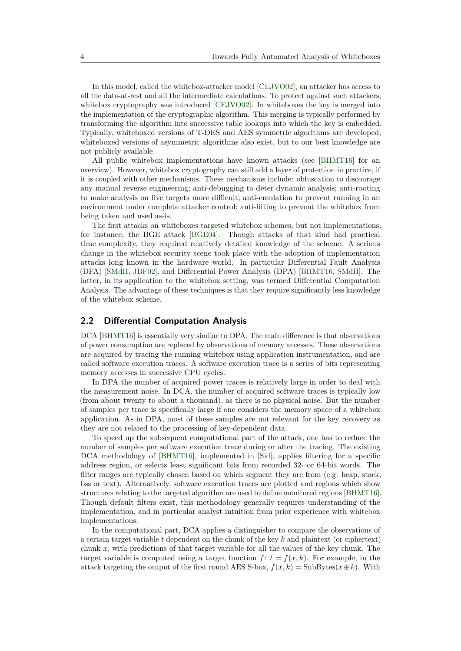In this model, called the whitebox-attacker model [\[CEJVO02\]](#page-15-0), an attacker has access to all the data-at-rest and all the intermediate calculations. To protect against such attackers, whitebox cryptography was introduced [\[CEJVO02\]](#page-15-0). In whiteboxes the key is merged into the implementation of the cryptographic algorithm. This merging is typically performed by transforming the algorithm into successive table lookups into which the key is embedded. Typically, whiteboxed versions of T-DES and AES symmetric algorithms are developed; whiteboxed versions of asymmetric algorithms also exist, but to our best knowledge are not publicly available.

All public whitebox implementations have known attacks (see [\[BHMT16\]](#page-15-1) for an overview). However, whitebox cryptography can still add a layer of protection in practice, if it is coupled with other mechanisms. These mechanisms include: obfuscation to discourage any manual reverse engineering; anti-debugging to deter dynamic analysis; anti-rooting to make analysis on live targets more difficult; anti-emulation to prevent running in an environment under complete attacker control; anti-lifting to prevent the whitebox from being taken and used as-is.

The first attacks on whiteboxes targeted whitebox schemes, but not implementations, for instance, the BGE attack [\[BGE04\]](#page-15-3). Though attacks of that kind had practical time complexity, they required relatively detailed knowledge of the scheme. A serious change in the whitebox security scene took place with the adoption of implementation attacks long known in the hardware world. In particular Differential Fault Analysis (DFA) [\[SMdH,](#page-16-1) [JBF02\]](#page-16-8), and Differential Power Analysis (DPA) [\[BHMT16,](#page-15-1) [SMdH\]](#page-16-1). The latter, in its application to the whitebox setting, was termed Differential Computation Analysis. The advantage of these techniques is that they require significantly less knowledge of the whitebox scheme.

#### **2.2 Differential Computation Analysis**

DCA [\[BHMT16\]](#page-15-1) is essentially very similar to DPA. The main difference is that observations of power consumption are replaced by observations of memory accesses. These observations are acquired by tracing the running whitebox using application instrumentation, and are called software execution traces. A software execution trace is a series of bits representing memory accesses in successive CPU cycles.

In DPA the number of acquired power traces is relatively large in order to deal with the measurement noise. In DCA, the number of acquired software traces is typically low (from about twenty to about a thousand), as there is no physical noise. But the number of samples per trace is specifically large if one considers the memory space of a whitebox application. As in DPA, most of these samples are not relevant for the key recovery as they are not related to the processing of key-dependent data.

To speed up the subsequent computational part of the attack, one has to reduce the number of samples per software execution trace during or after the tracing. The existing DCA methodology of [\[BHMT16\]](#page-15-1), implemented in [\[Sid\]](#page-16-2), applies filtering for a specific address region, or selects least significant bits from recorded 32- or 64-bit words. The filter ranges are typically chosen based on which segment they are from (e.g. heap, stack, bss or text). Alternatively, software execution traces are plotted and regions which show structures relating to the targeted algorithm are used to define monitored regions [\[BHMT16\]](#page-15-1). Though default filters exist, this methodology generally requires understanding of the implementation, and in particular analyst intuition from prior experience with whitebox implementations.

In the computational part, DCA applies a distinguisher to compare the observations of a certain target variable *t* dependent on the chunk of the key *k* and plaintext (or ciphertext) chunk *x*, with predictions of that target variable for all the values of the key chunk. The target variable is computed using a target function  $f: t = f(x, k)$ . For example, in the attack targeting the output of the first round AES S-box,  $f(x, k) = \text{SubBytes}(x \oplus k)$ . With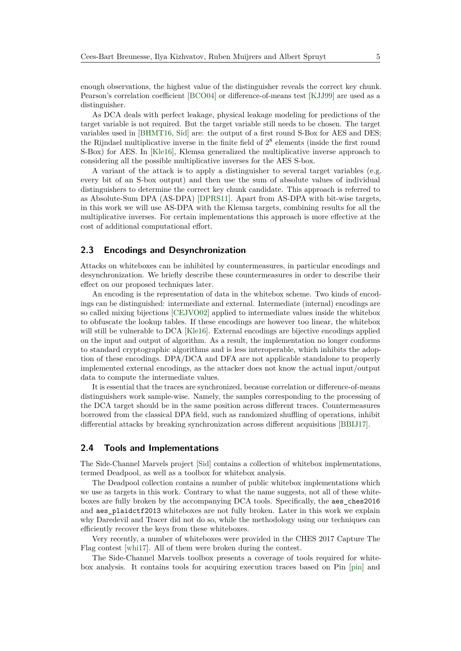enough observations, the highest value of the distinguisher reveals the correct key chunk. Pearson's correlation coefficient [\[BCO04\]](#page-15-4) or difference-of-means test [\[KJJ99\]](#page-16-9) are used as a distinguisher.

As DCA deals with perfect leakage, physical leakage modeling for predictions of the target variable is not required. But the target variable still needs to be chosen. The target variables used in [\[BHMT16,](#page-15-1) [Sid\]](#page-16-2) are: the output of a first round S-Box for AES and DES; the Rijndael multiplicative inverse in the finite field of  $2<sup>8</sup>$  elements (inside the first round S-Box) for AES. In [\[Kle16\]](#page-16-3), Klemsa generalized the multiplicative inverse approach to considering all the possible multiplicative inverses for the AES S-box.

A variant of the attack is to apply a distinguisher to several target variables (e.g. every bit of an S-box output) and then use the sum of absolute values of individual distinguishers to determine the correct key chunk candidate. This approach is referred to as Absolute-Sum DPA (AS-DPA) [\[DPRS11\]](#page-16-10). Apart from AS-DPA with bit-wise targets, in this work we will use AS-DPA with the Klemsa targets, combining results for all the multiplicative inverses. For certain implementations this approach is more effective at the cost of additional computational effort.

### **2.3 Encodings and Desynchronization**

Attacks on whiteboxes can be inhibited by countermeasures, in particular encodings and desynchronization. We briefly describe these countermeasures in order to describe their effect on our proposed techniques later.

An encoding is the representation of data in the whitebox scheme. Two kinds of encodings can be distinguished: intermediate and external. Intermediate (internal) encodings are so called mixing bijections [\[CEJVO02\]](#page-15-0) applied to intermediate values inside the whitebox to obfuscate the lookup tables. If these encodings are however too linear, the whitebox will still be vulnerable to DCA [\[Kle16\]](#page-16-3). External encodings are bijective encodings applied on the input and output of algorithm. As a result, the implementation no longer conforms to standard cryptographic algorithms and is less interoperable, which inhibits the adoption of these encodings. DPA/DCA and DFA are not applicable standalone to properly implemented external encodings, as the attacker does not know the actual input/output data to compute the intermediate values.

It is essential that the traces are synchronized, because correlation or difference-of-means distinguishers work sample-wise. Namely, the samples corresponding to the processing of the DCA target should be in the same position across different traces. Countermeasures borrowed from the classical DPA field, such as randomized shuffling of operations, inhibit differential attacks by breaking synchronization across different acquisitions [\[BBIJ17\]](#page-15-5).

#### **2.4 Tools and Implementations**

The Side-Channel Marvels project [\[Sid\]](#page-16-2) contains a collection of whitebox implementations, termed Deadpool, as well as a toolbox for whitebox analysis.

The Deadpool collection contains a number of public whitebox implementations which we use as targets in this work. Contrary to what the name suggests, not all of these whiteboxes are fully broken by the accompanying DCA tools. Specifically, the aes\_ches2016 and aes\_plaidctf2013 whiteboxes are not fully broken. Later in this work we explain why Daredevil and Tracer did not do so, while the methodology using our techniques can efficiently recover the keys from these whiteboxes.

Very recently, a number of whiteboxes were provided in the CHES 2017 Capture The Flag contest [\[whi17\]](#page-16-11). All of them were broken during the contest.

The Side-Channel Marvels toolbox presents a coverage of tools required for whitebox analysis. It contains tools for acquiring execution traces based on Pin [\[pin\]](#page-16-12) and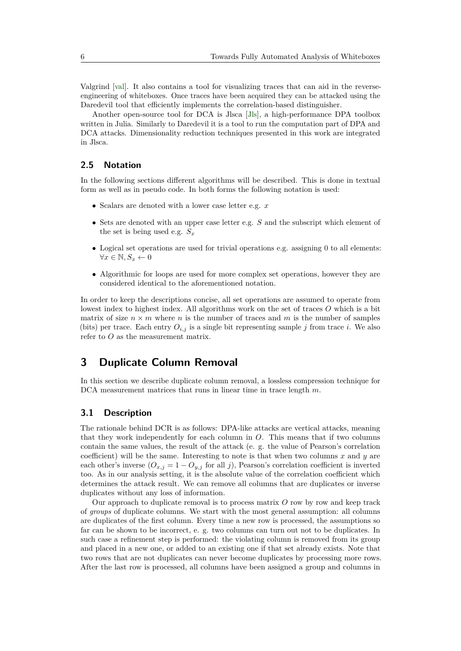Valgrind [\[val\]](#page-16-13). It also contains a tool for visualizing traces that can aid in the reverseengineering of whiteboxes. Once traces have been acquired they can be attacked using the Daredevil tool that efficiently implements the correlation-based distinguisher.

Another open-source tool for DCA is Jlsca [\[Jls\]](#page-16-6), a high-performance DPA toolbox written in Julia. Similarly to Daredevil it is a tool to run the computation part of DPA and DCA attacks. Dimensionality reduction techniques presented in this work are integrated in Jlsca.

### **2.5 Notation**

In the following sections different algorithms will be described. This is done in textual form as well as in pseudo code. In both forms the following notation is used:

- Scalars are denoted with a lower case letter e.g. *x*
- Sets are denoted with an upper case letter e.g. *S* and the subscript which element of the set is being used e.g.  $S_x$
- Logical set operations are used for trivial operations e.g. assigning 0 to all elements:  $\forall x \in \mathbb{N}, S_x \leftarrow 0$
- Algorithmic for loops are used for more complex set operations, however they are considered identical to the aforementioned notation.

In order to keep the descriptions concise, all set operations are assumed to operate from lowest index to highest index. All algorithms work on the set of traces *O* which is a bit matrix of size  $n \times m$  where *n* is the number of traces and *m* is the number of samples (bits) per trace. Each entry  $O_{i,j}$  is a single bit representing sample *j* from trace *i*. We also refer to *O* as the measurement matrix.

# **3 Duplicate Column Removal**

In this section we describe duplicate column removal, a lossless compression technique for DCA measurement matrices that runs in linear time in trace length *m*.

### **3.1 Description**

The rationale behind DCR is as follows: DPA-like attacks are vertical attacks, meaning that they work independently for each column in *O*. This means that if two columns contain the same values, the result of the attack (e. g. the value of Pearson's correlation coefficient) will be the same. Interesting to note is that when two columns  $x$  and  $y$  are each other's inverse  $(O_{x,j} = 1 - O_{y,j}$  for all *j*), Pearson's correlation coefficient is inverted too. As in our analysis setting, it is the absolute value of the correlation coefficient which determines the attack result. We can remove all columns that are duplicates or inverse duplicates without any loss of information.

Our approach to duplicate removal is to process matrix *O* row by row and keep track of *groups* of duplicate columns. We start with the most general assumption: all columns are duplicates of the first column. Every time a new row is processed, the assumptions so far can be shown to be incorrect, e. g. two columns can turn out not to be duplicates. In such case a refinement step is performed: the violating column is removed from its group and placed in a new one, or added to an existing one if that set already exists. Note that two rows that are not duplicates can never become duplicates by processing more rows. After the last row is processed, all columns have been assigned a group and columns in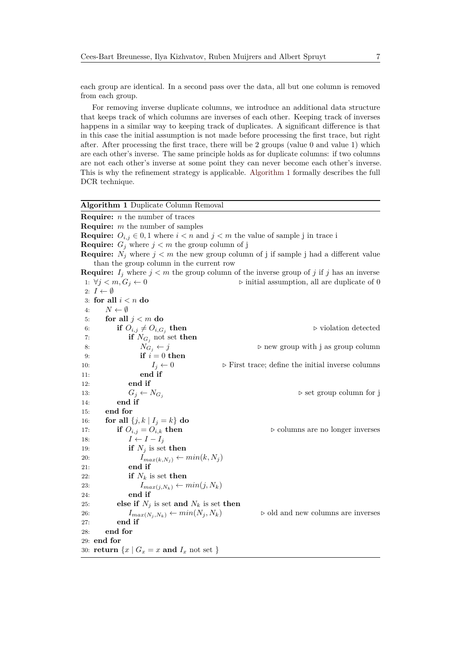each group are identical. In a second pass over the data, all but one column is removed from each group.

For removing inverse duplicate columns, we introduce an additional data structure that keeps track of which columns are inverses of each other. Keeping track of inverses happens in a similar way to keeping track of duplicates. A significant difference is that in this case the initial assumption is not made before processing the first trace, but right after. After processing the first trace, there will be 2 groups (value 0 and value 1) which are each other's inverse. The same principle holds as for duplicate columns: if two columns are not each other's inverse at some point they can never become each other's inverse. This is why the refinement strategy is applicable. [Algorithm 1](#page-6-0) formally describes the full DCR technique.

#### <span id="page-6-0"></span>**Algorithm 1** Duplicate Column Removal

**Require:** *n* the number of traces **Require:** *m* the number of samples **Require:**  $O_{i,j} \in \{0, 1\}$  where  $i < n$  and  $j < m$  the value of sample j in trace is **Require:**  $G_j$  where  $j < m$  the group column of j **Require:**  $N_j$  where  $j < m$  the new group column of j if sample j had a different value than the group column in the current row **Require:**  $I_j$  where  $j < m$  the group column of the inverse group of *j* if *j* has an inverse 1:  $\forall j \leq m, G_j \leftarrow 0$  > initial assumption, all are duplicate of 0 2:  $I \leftarrow \emptyset$ 3: **for all** *i < n* **do** 4:  $N \leftarrow \emptyset$ 5: **for all** *j < m* **do** 6: **if**  $O_{i,j} \neq O_{i,G_i}$  then  $\triangleright$  violation detected 7: **if**  $N_{G_i}$  not set **then** 8:  $N_{G_i} \leftarrow j$  b new group with j as group column 9: **if**  $i = 0$  **then** 10:  $I_j \leftarrow 0$   $\triangleright$  First trace; define the initial inverse columns 11: **end if** 12: **end if** 13:  $G_i \leftarrow N_{G_i}$  b set group column for j 14: **end if** 15: **end for** 16: **for all**  $\{j, k | I_j = k\}$  **do** 17: **if**  $O_{i,j} = O_{i,k}$  **then**  $\triangleright$  columns are no longer inverses 18:  $I \leftarrow I - I_j$ 19: **if**  $N_j$  is set **then** 20:  $I_{max(k,N_j)} \leftarrow min(k,N_j)$ 21: **end if** 22: **if**  $N_k$  is set **then** 23:  $I_{max(j,N_k)} \leftarrow min(j, N_k)$ 24: **end if** 25: **else if**  $N_j$  is set **and**  $N_k$  is set **then** 26:  $I_{max(N_i, N_k)} \leftarrow min(N_j, N_k)$   $\triangleright$  old and new columns are inverses 27: **end if** 28: **end for** 29: **end for** 30: **return**  $\{x \mid G_x = x \text{ and } I_x \text{ not set }\}$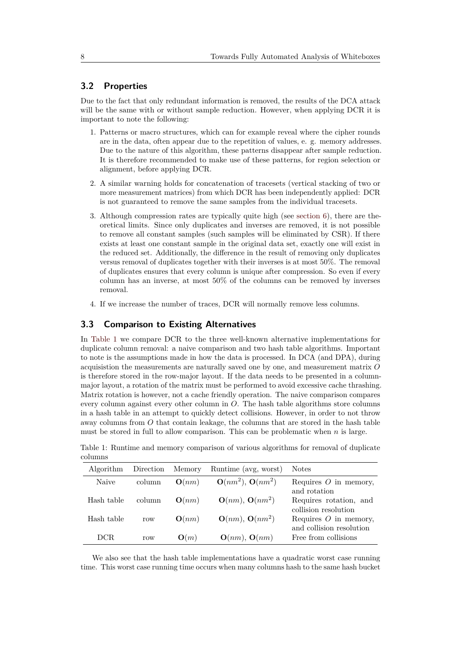#### **3.2 Properties**

Due to the fact that only redundant information is removed, the results of the DCA attack will be the same with or without sample reduction. However, when applying DCR it is important to note the following:

- 1. Patterns or macro structures, which can for example reveal where the cipher rounds are in the data, often appear due to the repetition of values, e. g. memory addresses. Due to the nature of this algorithm, these patterns disappear after sample reduction. It is therefore recommended to make use of these patterns, for region selection or alignment, before applying DCR.
- 2. A similar warning holds for concatenation of tracesets (vertical stacking of two or more measurement matrices) from which DCR has been independently applied: DCR is not guaranteed to remove the same samples from the individual tracesets.
- 3. Although compression rates are typically quite high (see [section 6\)](#page-11-0), there are theoretical limits. Since only duplicates and inverses are removed, it is not possible to remove all constant samples (such samples will be eliminated by CSR). If there exists at least one constant sample in the original data set, exactly one will exist in the reduced set. Additionally, the difference in the result of removing only duplicates versus removal of duplicates together with their inverses is at most 50%. The removal of duplicates ensures that every column is unique after compression. So even if every column has an inverse, at most 50% of the columns can be removed by inverses removal.
- 4. If we increase the number of traces, DCR will normally remove less columns.

#### **3.3 Comparison to Existing Alternatives**

In [Table 1](#page-7-0) we compare DCR to the three well-known alternative implementations for duplicate column removal: a naive comparison and two hash table algorithms. Important to note is the assumptions made in how the data is processed. In DCA (and DPA), during acquisistion the measurements are naturally saved one by one, and measurement matrix *O* is therefore stored in the row-major layout. If the data needs to be presented in a columnmajor layout, a rotation of the matrix must be performed to avoid excessive cache thrashing. Matrix rotation is however, not a cache friendly operation. The naive comparison compares every column against every other column in *O*. The hash table algorithms store columns in a hash table in an attempt to quickly detect collisions. However, in order to not throw away columns from *O* that contain leakage, the columns that are stored in the hash table must be stored in full to allow comparison. This can be problematic when *n* is large.

| Algorithm  | Direction | Memory          | Runtime (avg, worst)  | <b>Notes</b>                                        |
|------------|-----------|-----------------|-----------------------|-----------------------------------------------------|
| Naive      | column    | O(nm)           | $O(nm^2)$ , $O(nm^2)$ | Requires $O$ in memory,<br>and rotation             |
| Hash table | column    | O(nm)           | $O(nm)$ , $O(nm^2)$   | Requires rotation, and<br>collision resolution      |
| Hash table | row       | O(nm)           | $O(nm)$ , $O(nm^2)$   | Requires $O$ in memory,<br>and collision resolution |
| DCR.       | row       | $\mathbf{O}(m)$ | $O(nm)$ , $O(nm)$     | Free from collisions                                |

<span id="page-7-0"></span>Table 1: Runtime and memory comparison of various algorithms for removal of duplicate columns

We also see that the hash table implementations have a quadratic worst case running time. This worst case running time occurs when many columns hash to the same hash bucket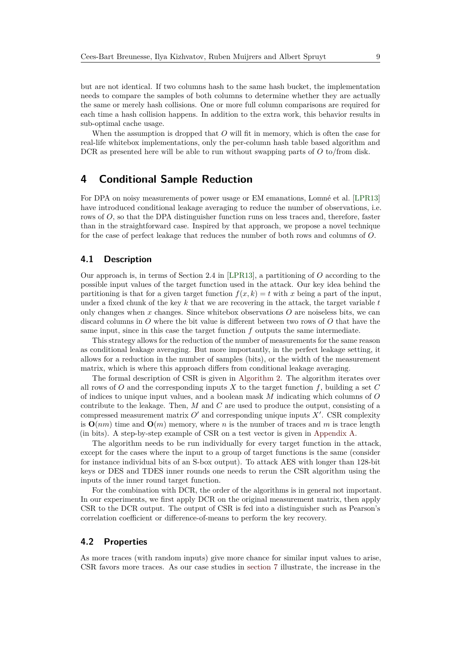but are not identical. If two columns hash to the same hash bucket, the implementation needs to compare the samples of both columns to determine whether they are actually the same or merely hash collisions. One or more full column comparisons are required for each time a hash collision happens. In addition to the extra work, this behavior results in sub-optimal cache usage.

When the assumption is dropped that *O* will fit in memory, which is often the case for real-life whitebox implementations, only the per-column hash table based algorithm and DCR as presented here will be able to run without swapping parts of *O* to/from disk.

### <span id="page-8-0"></span>**4 Conditional Sample Reduction**

For DPA on noisy measurements of power usage or EM emanations, Lomné et al. [\[LPR13\]](#page-16-5) have introduced conditional leakage averaging to reduce the number of observations, i.e. rows of *O*, so that the DPA distinguisher function runs on less traces and, therefore, faster than in the straightforward case. Inspired by that approach, we propose a novel technique for the case of perfect leakage that reduces the number of both rows and columns of *O*.

#### **4.1 Description**

Our approach is, in terms of Section 2.4 in [\[LPR13\]](#page-16-5), a partitioning of *O* according to the possible input values of the target function used in the attack. Our key idea behind the partitioning is that for a given target function  $f(x, k) = t$  with *x* being a part of the input, under a fixed chunk of the key *k* that we are recovering in the attack, the target variable *t* only changes when *x* changes. Since whitebox observations *O* are noiseless bits, we can discard columns in *O* where the bit value is different between two rows of *O* that have the same input, since in this case the target function *f* outputs the same intermediate.

This strategy allows for the reduction of the number of measurements for the same reason as conditional leakage averaging. But more importantly, in the perfect leakage setting, it allows for a reduction in the number of samples (bits), or the width of the measurement matrix, which is where this approach differs from conditional leakage averaging.

The formal description of CSR is given in [Algorithm 2.](#page-9-0) The algorithm iterates over all rows of *O* and the corresponding inputs *X* to the target function *f*, building a set *C* of indices to unique input values, and a boolean mask *M* indicating which columns of *O* contribute to the leakage. Then, *M* and *C* are used to produce the output, consisting of a compressed measurement matrix  $O'$  and corresponding unique inputs  $X'$ . CSR complexity is  $O(nm)$  time and  $O(m)$  memory, where *n* is the number of traces and *m* is trace length (in bits). A step-by-step example of CSR on a test vector is given in [Appendix A.](#page-17-0)

The algorithm needs to be run individually for every target function in the attack, except for the cases where the input to a group of target functions is the same (consider for instance individual bits of an S-box output). To attack AES with longer than 128-bit keys or DES and TDES inner rounds one needs to rerun the CSR algorithm using the inputs of the inner round target function.

For the combination with DCR, the order of the algorithms is in general not important. In our experiments, we first apply DCR on the original measurement matrix, then apply CSR to the DCR output. The output of CSR is fed into a distinguisher such as Pearson's correlation coefficient or difference-of-means to perform the key recovery.

### **4.2 Properties**

As more traces (with random inputs) give more chance for similar input values to arise, CSR favors more traces. As our case studies in [section 7](#page-12-0) illustrate, the increase in the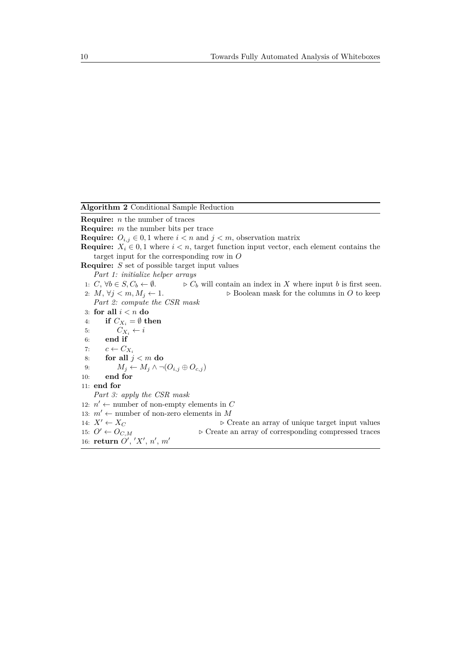<span id="page-9-0"></span>**Algorithm 2** Conditional Sample Reduction

**Require:** *n* the number of traces

**Require:** *m* the number bits per trace

**Require:**  $O_{i,j} \in \{0, 1\}$  where  $i < n$  and  $j < m$ , observation matrix

**Require:**  $X_i \in \{0, 1\}$  where  $i < n$ , target function input vector, each element contains the target input for the corresponding row in *O*

**Require:** *S* set of possible target input values

*Part 1: initialize helper arrays*

- 1: *C*,  $\forall b \in S, C_b \leftarrow \emptyset$ . *⊳ C<sub>b</sub>* will contain an index in *X* where input *b* is first seen.<br>2: *M*,  $\forall j < m, M_j \leftarrow 1$ . *⊳* Boolean mask for the columns in *O* to keep
- $\triangleright$  Boolean mask for the columns in  $O$  to keep
- *Part 2: compute the CSR mask*
- 3: **for all** *i < n* **do**
- 4: **if**  $C_{X_i} = \emptyset$  then
- 5:  $C_{X_i} \leftarrow i$
- 6: **end if**
- 7:  $c \leftarrow C_{X_i}$
- 8: **for all** *j < m* **do**
- 9:  $M_j \leftarrow M_j \wedge \neg(O_{i,j} \oplus O_{c,j})$
- 10: **end for**
- 11: **end for**

*Part 3: apply the CSR mask*

- 12:  $n' \leftarrow$  number of non-empty elements in *C*
- 13:  $m' \leftarrow$  number of non-zero elements in M
- 
- 14:  $X' \leftarrow X_C$ <br>
15:  $O' \leftarrow O_{C M}$   $\triangleright$  Create an array of corresponding compressed traces 15: *O*<sup>0</sup> ← *OC,M .* Create an array of corresponding compressed traces 16: **return**  $O', 'X', n', m'$
-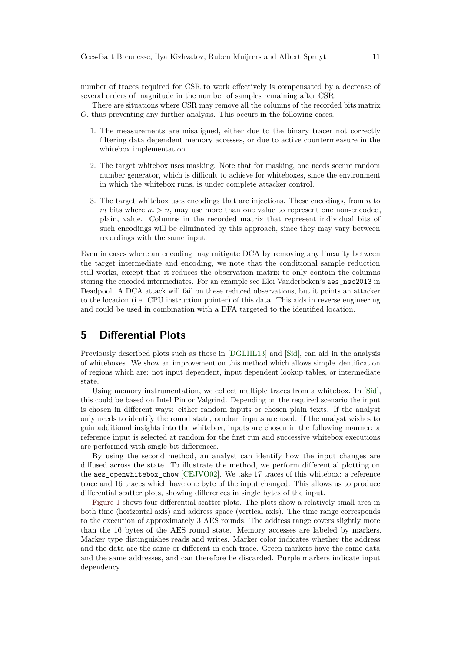number of traces required for CSR to work effectively is compensated by a decrease of several orders of magnitude in the number of samples remaining after CSR.

There are situations where CSR may remove all the columns of the recorded bits matrix *O*, thus preventing any further analysis. This occurs in the following cases.

- 1. The measurements are misaligned, either due to the binary tracer not correctly filtering data dependent memory accesses, or due to active countermeasure in the whitebox implementation.
- 2. The target whitebox uses masking. Note that for masking, one needs secure random number generator, which is difficult to achieve for whiteboxes, since the environment in which the whitebox runs, is under complete attacker control.
- 3. The target whitebox uses encodings that are injections. These encodings, from *n* to *m* bits where  $m > n$ , may use more than one value to represent one non-encoded, plain, value. Columns in the recorded matrix that represent individual bits of such encodings will be eliminated by this approach, since they may vary between recordings with the same input.

Even in cases where an encoding may mitigate DCA by removing any linearity between the target intermediate and encoding, we note that the conditional sample reduction still works, except that it reduces the observation matrix to only contain the columns storing the encoded intermediates. For an example see Eloi Vanderbeken's aes\_nsc2013 in Deadpool. A DCA attack will fail on these reduced observations, but it points an attacker to the location (i.e. CPU instruction pointer) of this data. This aids in reverse engineering and could be used in combination with a DFA targeted to the identified location.

# **5 Differential Plots**

Previously described plots such as those in [\[DGLHL13\]](#page-15-6) and [\[Sid\]](#page-16-2), can aid in the analysis of whiteboxes. We show an improvement on this method which allows simple identification of regions which are: not input dependent, input dependent lookup tables, or intermediate state.

Using memory instrumentation, we collect multiple traces from a whitebox. In [\[Sid\]](#page-16-2), this could be based on Intel Pin or Valgrind. Depending on the required scenario the input is chosen in different ways: either random inputs or chosen plain texts. If the analyst only needs to identify the round state, random inputs are used. If the analyst wishes to gain additional insights into the whitebox, inputs are chosen in the following manner: a reference input is selected at random for the first run and successive whitebox executions are performed with single bit differences.

By using the second method, an analyst can identify how the input changes are diffused across the state. To illustrate the method, we perform differential plotting on the aes\_openwhitebox\_chow [\[CEJVO02\]](#page-15-0). We take 17 traces of this whitebox: a reference trace and 16 traces which have one byte of the input changed. This allows us to produce differential scatter plots, showing differences in single bytes of the input.

[Figure 1](#page-11-1) shows four differential scatter plots. The plots show a relatively small area in both time (horizontal axis) and address space (vertical axis). The time range corresponds to the execution of approximately 3 AES rounds. The address range covers slightly more than the 16 bytes of the AES round state. Memory accesses are labeled by markers. Marker type distinguishes reads and writes. Marker color indicates whether the address and the data are the same or different in each trace. Green markers have the same data and the same addresses, and can therefore be discarded. Purple markers indicate input dependency.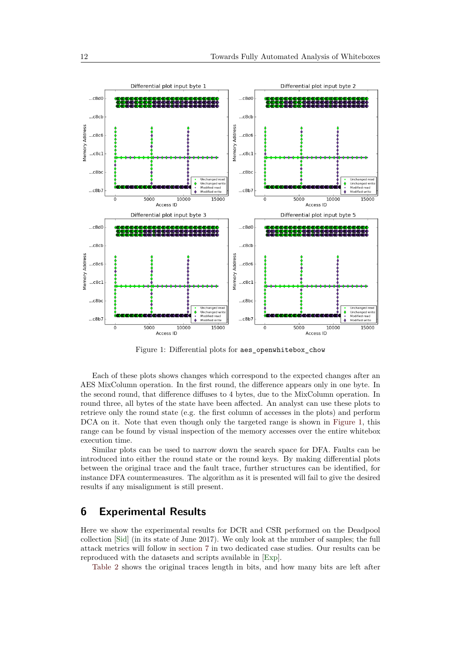<span id="page-11-1"></span>

Figure 1: Differential plots for aes\_openwhitebox\_chow

Each of these plots shows changes which correspond to the expected changes after an AES MixColumn operation. In the first round, the difference appears only in one byte. In the second round, that difference diffuses to 4 bytes, due to the MixColumn operation. In round three, all bytes of the state have been affected. An analyst can use these plots to retrieve only the round state (e.g. the first column of accesses in the plots) and perform DCA on it. Note that even though only the targeted range is shown in [Figure 1,](#page-11-1) this range can be found by visual inspection of the memory accesses over the entire whitebox execution time.

Similar plots can be used to narrow down the search space for DFA. Faults can be introduced into either the round state or the round keys. By making differential plots between the original trace and the fault trace, further structures can be identified, for instance DFA countermeasures. The algorithm as it is presented will fail to give the desired results if any misalignment is still present.

# <span id="page-11-0"></span>**6 Experimental Results**

Here we show the experimental results for DCR and CSR performed on the Deadpool collection [\[Sid\]](#page-16-2) (in its state of June 2017). We only look at the number of samples; the full attack metrics will follow in [section 7](#page-12-0) in two dedicated case studies. Our results can be reproduced with the datasets and scripts available in [\[Exp\]](#page-16-7).

[Table 2](#page-12-1) shows the original traces length in bits, and how many bits are left after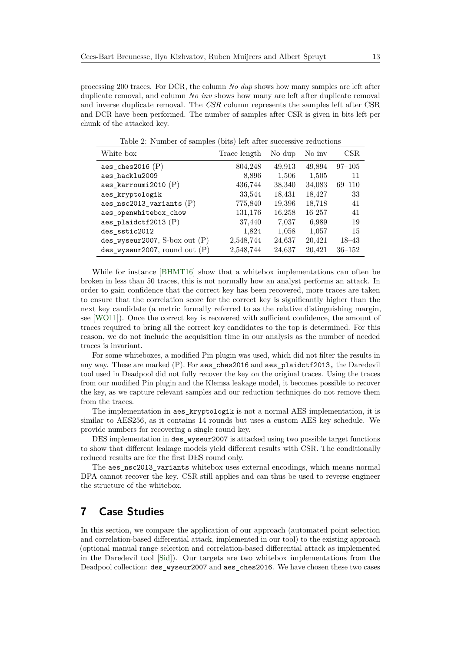processing 200 traces. For DCR, the column *No dup* shows how many samples are left after duplicate removal, and column *No inv* shows how many are left after duplicate removal and inverse duplicate removal. The *CSR* column represents the samples left after CSR and DCR have been performed. The number of samples after CSR is given in bits left per chunk of the attacked key.

<span id="page-12-1"></span>

| White box                            | Trace length | No dup | No inv | CSR        |
|--------------------------------------|--------------|--------|--------|------------|
| aes_ches2016 $(P)$                   | 804,248      | 49,913 | 49,894 | $97 - 105$ |
| aes_hacklu2009                       | 8,896        | 1,506  | 1,505  | 11         |
| $\texttt{aes\_karrowi}$ 2010 (P)     | 436,744      | 38,340 | 34,083 | $69 - 110$ |
| aes kryptologik                      | 33,544       | 18,431 | 18,427 | 33         |
| aes_nsc2013_variants $(P)$           | 775,840      | 19,396 | 18,718 | 41         |
| aes_openwhitebox_chow                | 131,176      | 16,258 | 16 257 | 41         |
| $\texttt{aes\_plaidctf2013}$ (P)     | 37,440       | 7,037  | 6,989  | 19         |
| des sstic2012                        | 1,824        | 1,058  | 1,057  | 15         |
| $des_{wyseur2007}$ , S-box out $(P)$ | 2,548,744    | 24,637 | 20,421 | $18 - 43$  |
| $des_wyseur2007$ , round out $(P)$   | 2,548,744    | 24,637 | 20,421 | $36 - 152$ |

Table 2: Number of samples (bits) left after successive reductions

While for instance [\[BHMT16\]](#page-15-1) show that a whitebox implementations can often be broken in less than 50 traces, this is not normally how an analyst performs an attack. In order to gain confidence that the correct key has been recovered, more traces are taken to ensure that the correlation score for the correct key is significantly higher than the next key candidate (a metric formally referred to as the relative distinguishing margin, see [\[WO11\]](#page-16-14)). Once the correct key is recovered with sufficient confidence, the amount of traces required to bring all the correct key candidates to the top is determined. For this reason, we do not include the acquisition time in our analysis as the number of needed traces is invariant.

For some whiteboxes, a modified Pin plugin was used, which did not filter the results in any way. These are marked (P). For aes\_ches2016 and aes\_plaidctf2013, the Daredevil tool used in Deadpool did not fully recover the key on the original traces. Using the traces from our modified Pin plugin and the Klemsa leakage model, it becomes possible to recover the key, as we capture relevant samples and our reduction techniques do not remove them from the traces.

The implementation in aes\_kryptologik is not a normal AES implementation, it is similar to AES256, as it contains 14 rounds but uses a custom AES key schedule. We provide numbers for recovering a single round key.

DES implementation in des\_wyseur2007 is attacked using two possible target functions to show that different leakage models yield different results with CSR. The conditionally reduced results are for the first DES round only.

The aes nsc2013 variants whitebox uses external encodings, which means normal DPA cannot recover the key. CSR still applies and can thus be used to reverse engineer the structure of the whitebox.

# <span id="page-12-0"></span>**7 Case Studies**

In this section, we compare the application of our approach (automated point selection and correlation-based differential attack, implemented in our tool) to the existing approach (optional manual range selection and correlation-based differential attack as implemented in the Daredevil tool [\[Sid\]](#page-16-2)). Our targets are two whitebox implementations from the Deadpool collection: des\_wyseur2007 and aes\_ches2016. We have chosen these two cases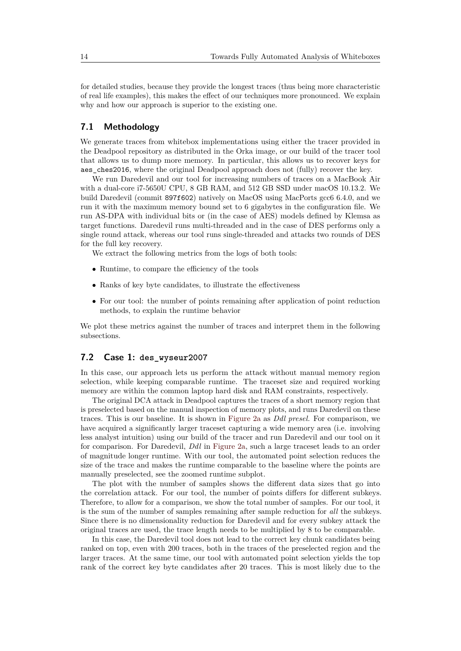for detailed studies, because they provide the longest traces (thus being more characteristic of real life examples), this makes the effect of our techniques more pronounced. We explain why and how our approach is superior to the existing one.

### **7.1 Methodology**

We generate traces from whitebox implementations using either the tracer provided in the Deadpool repository as distributed in the Orka image, or our build of the tracer tool that allows us to dump more memory. In particular, this allows us to recover keys for aes\_ches2016, where the original Deadpool approach does not (fully) recover the key.

We run Daredevil and our tool for increasing numbers of traces on a MacBook Air with a dual-core i7-5650U CPU, 8 GB RAM, and 512 GB SSD under macOS 10.13.2. We build Daredevil (commit 897f602) natively on MacOS using MacPorts gcc6 6.4.0, and we run it with the maximum memory bound set to 6 gigabytes in the configuration file. We run AS-DPA with individual bits or (in the case of AES) models defined by Klemsa as target functions. Daredevil runs multi-threaded and in the case of DES performs only a single round attack, whereas our tool runs single-threaded and attacks two rounds of DES for the full key recovery.

We extract the following metrics from the logs of both tools:

- Runtime, to compare the efficiency of the tools
- Ranks of key byte candidates, to illustrate the effectiveness
- For our tool: the number of points remaining after application of point reduction methods, to explain the runtime behavior

We plot these metrics against the number of traces and interpret them in the following subsections.

#### **7.2 Case 1: des\_wyseur2007**

In this case, our approach lets us perform the attack without manual memory region selection, while keeping comparable runtime. The traceset size and required working memory are within the common laptop hard disk and RAM constraints, respectively.

The original DCA attack in Deadpool captures the traces of a short memory region that is preselected based on the manual inspection of memory plots, and runs Daredevil on these traces. This is our baseline. It is shown in [Figure 2a](#page-14-0) as *Ddl presel.* For comparison, we have acquired a significantly larger traceset capturing a wide memory area (i.e. involving less analyst intuition) using our build of the tracer and run Daredevil and our tool on it for comparison. For Daredevil, *Ddl* in [Figure 2a,](#page-14-0) such a large traceset leads to an order of magnitude longer runtime. With our tool, the automated point selection reduces the size of the trace and makes the runtime comparable to the baseline where the points are manually preselected, see the zoomed runtime subplot.

The plot with the number of samples shows the different data sizes that go into the correlation attack. For our tool, the number of points differs for different subkeys. Therefore, to allow for a comparison, we show the total number of samples. For our tool, it is the sum of the number of samples remaining after sample reduction for *all* the subkeys. Since there is no dimensionality reduction for Daredevil and for every subkey attack the original traces are used, the trace length needs to be multiplied by 8 to be comparable.

In this case, the Daredevil tool does not lead to the correct key chunk candidates being ranked on top, even with 200 traces, both in the traces of the preselected region and the larger traces. At the same time, our tool with automated point selection yields the top rank of the correct key byte candidates after 20 traces. This is most likely due to the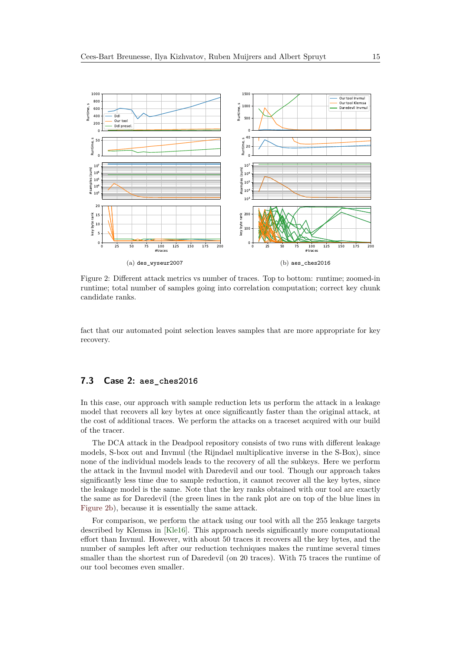<span id="page-14-0"></span>

<span id="page-14-1"></span>Figure 2: Different attack metrics vs number of traces. Top to bottom: runtime; zoomed-in runtime; total number of samples going into correlation computation; correct key chunk candidate ranks.

fact that our automated point selection leaves samples that are more appropriate for key recovery.

#### **7.3 Case 2: aes\_ches2016**

In this case, our approach with sample reduction lets us perform the attack in a leakage model that recovers all key bytes at once significantly faster than the original attack, at the cost of additional traces. We perform the attacks on a traceset acquired with our build of the tracer.

The DCA attack in the Deadpool repository consists of two runs with different leakage models, S-box out and Invmul (the Rijndael multiplicative inverse in the S-Box), since none of the individual models leads to the recovery of all the subkeys. Here we perform the attack in the Invmul model with Daredevil and our tool. Though our approach takes significantly less time due to sample reduction, it cannot recover all the key bytes, since the leakage model is the same. Note that the key ranks obtained with our tool are exactly the same as for Daredevil (the green lines in the rank plot are on top of the blue lines in [Figure 2b\)](#page-14-1), because it is essentially the same attack.

For comparison, we perform the attack using our tool with all the 255 leakage targets described by Klemsa in [\[Kle16\]](#page-16-3). This approach needs significantly more computational effort than Invmul. However, with about 50 traces it recovers all the key bytes, and the number of samples left after our reduction techniques makes the runtime several times smaller than the shortest run of Daredevil (on 20 traces). With 75 traces the runtime of our tool becomes even smaller.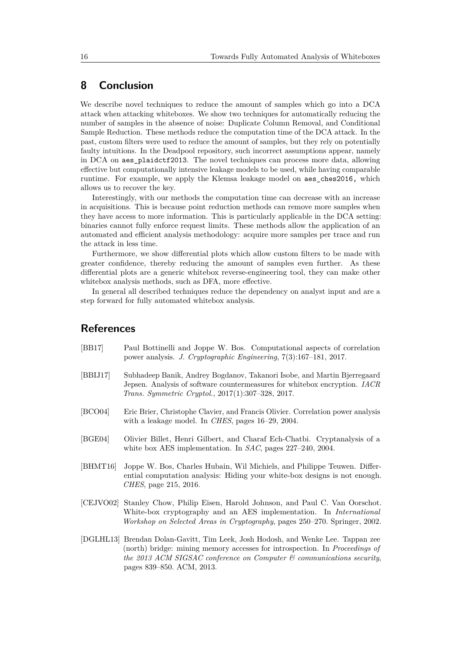# **8 Conclusion**

We describe novel techniques to reduce the amount of samples which go into a DCA attack when attacking whiteboxes. We show two techniques for automatically reducing the number of samples in the absence of noise: Duplicate Column Removal, and Conditional Sample Reduction. These methods reduce the computation time of the DCA attack. In the past, custom filters were used to reduce the amount of samples, but they rely on potentially faulty intuitions. In the Deadpool repository, such incorrect assumptions appear, namely in DCA on aes\_plaidctf2013. The novel techniques can process more data, allowing effective but computationally intensive leakage models to be used, while having comparable runtime. For example, we apply the Klemsa leakage model on aes\_ches2016, which allows us to recover the key.

Interestingly, with our methods the computation time can decrease with an increase in acquisitions. This is because point reduction methods can remove more samples when they have access to more information. This is particularly applicable in the DCA setting: binaries cannot fully enforce request limits. These methods allow the application of an automated and efficient analysis methodology: acquire more samples per trace and run the attack in less time.

Furthermore, we show differential plots which allow custom filters to be made with greater confidence, thereby reducing the amount of samples even further. As these differential plots are a generic whitebox reverse-engineering tool, they can make other whitebox analysis methods, such as DFA, more effective.

In general all described techniques reduce the dependency on analyst input and are a step forward for fully automated whitebox analysis.

### **References**

- <span id="page-15-2"></span>[BB17] Paul Bottinelli and Joppe W. Bos. Computational aspects of correlation power analysis. *J. Cryptographic Engineering*, 7(3):167–181, 2017.
- <span id="page-15-5"></span>[BBIJ17] Subhadeep Banik, Andrey Bogdanov, Takanori Isobe, and Martin Bjerregaard Jepsen. Analysis of software countermeasures for whitebox encryption. *IACR Trans. Symmetric Cryptol.*, 2017(1):307–328, 2017.
- <span id="page-15-4"></span>[BCO04] Eric Brier, Christophe Clavier, and Francis Olivier. Correlation power analysis with a leakage model. In *CHES*, pages 16–29, 2004.
- <span id="page-15-3"></span>[BGE04] Olivier Billet, Henri Gilbert, and Charaf Ech-Chatbi. Cryptanalysis of a white box AES implementation. In *SAC*, pages 227–240, 2004.
- <span id="page-15-1"></span>[BHMT16] Joppe W. Bos, Charles Hubain, Wil Michiels, and Philippe Teuwen. Differential computation analysis: Hiding your white-box designs is not enough. *CHES*, page 215, 2016.
- <span id="page-15-0"></span>[CEJVO02] Stanley Chow, Philip Eisen, Harold Johnson, and Paul C. Van Oorschot. White-box cryptography and an AES implementation. In *International Workshop on Selected Areas in Cryptography*, pages 250–270. Springer, 2002.
- <span id="page-15-6"></span>[DGLHL13] Brendan Dolan-Gavitt, Tim Leek, Josh Hodosh, and Wenke Lee. Tappan zee (north) bridge: mining memory accesses for introspection. In *Proceedings of the 2013 ACM SIGSAC conference on Computer & communications security*, pages 839–850. ACM, 2013.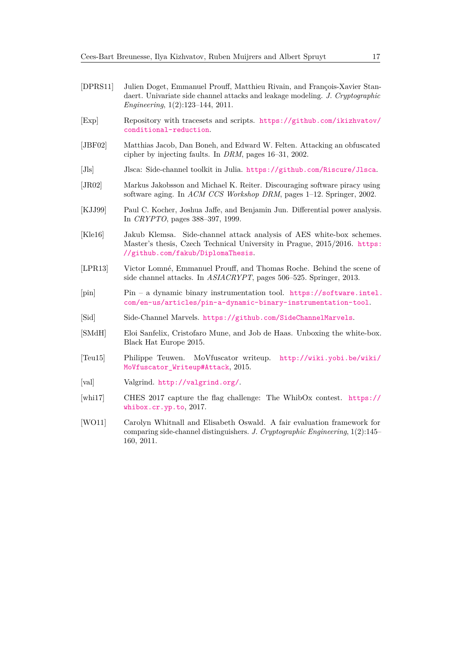- <span id="page-16-10"></span>[DPRS11] Julien Doget, Emmanuel Prouff, Matthieu Rivain, and François-Xavier Standaert. Univariate side channel attacks and leakage modeling. *J. Cryptographic Engineering*, 1(2):123–144, 2011.
- <span id="page-16-7"></span>[Exp] Repository with tracesets and scripts. [https://github.com/ikizhvatov/](https://github.com/ikizhvatov/conditional-reduction) [conditional-reduction](https://github.com/ikizhvatov/conditional-reduction).
- <span id="page-16-8"></span>[JBF02] Matthias Jacob, Dan Boneh, and Edward W. Felten. Attacking an obfuscated cipher by injecting faults. In *DRM*, pages 16–31, 2002.
- <span id="page-16-6"></span>[Jls] Jlsca: Side-channel toolkit in Julia. <https://github.com/Riscure/Jlsca>.
- <span id="page-16-0"></span>[JR02] Markus Jakobsson and Michael K. Reiter. Discouraging software piracy using software aging. In *ACM CCS Workshop DRM*, pages 1–12. Springer, 2002.
- <span id="page-16-9"></span>[KJJ99] Paul C. Kocher, Joshua Jaffe, and Benjamin Jun. Differential power analysis. In *CRYPTO*, pages 388–397, 1999.
- <span id="page-16-3"></span>[Kle16] Jakub Klemsa. Side-channel attack analysis of AES white-box schemes. Master's thesis, Czech Technical University in Prague, 2015/2016. [https:](https://github.com/fakub/DiplomaThesis) [//github.com/fakub/DiplomaThesis](https://github.com/fakub/DiplomaThesis).
- <span id="page-16-5"></span>[LPR13] Victor Lomné, Emmanuel Prouff, and Thomas Roche. Behind the scene of side channel attacks. In *ASIACRYPT*, pages 506–525. Springer, 2013.
- <span id="page-16-12"></span>[pin] Pin – a dynamic binary instrumentation tool. [https://software.intel.](https://software.intel.com/en-us/articles/pin-a-dynamic-binary-instrumentation-tool) [com/en-us/articles/pin-a-dynamic-binary-instrumentation-tool](https://software.intel.com/en-us/articles/pin-a-dynamic-binary-instrumentation-tool).
- <span id="page-16-2"></span>[Sid] Side-Channel Marvels. <https://github.com/SideChannelMarvels>.
- <span id="page-16-1"></span>[SMdH] Eloi Sanfelix, Cristofaro Mune, and Job de Haas. Unboxing the white-box. Black Hat Europe 2015.
- <span id="page-16-4"></span>[Teu15] Philippe Teuwen. MoVfuscator writeup. [http://wiki.yobi.be/wiki/](http://wiki.yobi.be/wiki/MoVfuscator_Writeup#Attack) MoVfuscator Writeup#Attack, 2015.
- <span id="page-16-13"></span>[val] Valgrind. <http://valgrind.org/>.
- <span id="page-16-11"></span>[whi17] CHES 2017 capture the flag challenge: The WhibOx contest. [https://](https://whibox.cr.yp.to) [whibox.cr.yp.to](https://whibox.cr.yp.to), 2017.
- <span id="page-16-14"></span>[WO11] Carolyn Whitnall and Elisabeth Oswald. A fair evaluation framework for comparing side-channel distinguishers. *J. Cryptographic Engineering*, 1(2):145– 160, 2011.